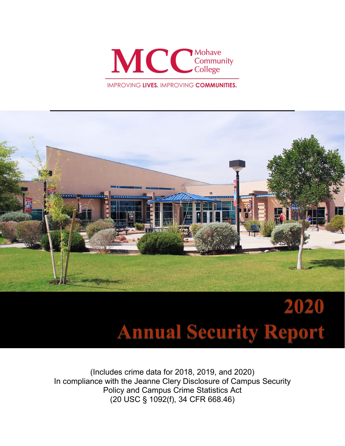

**IMPROVING LIVES. IMPROVING COMMUNITIES.** 



# **2020 Annual Security Report**

(Includes crime data for 2018, 2019, and 2020) In compliance with the Jeanne Clery Disclosure of Campus Security Policy and Campus Crime Statistics Act (20 USC § 1092(f), 34 CFR 668.46)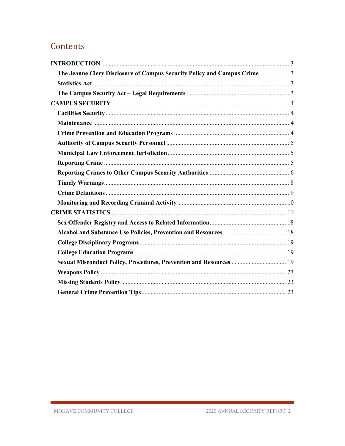# Contents

<span id="page-1-0"></span>

| The Jeanne Clery Disclosure of Campus Security Policy and Campus Crime  3 |  |
|---------------------------------------------------------------------------|--|
|                                                                           |  |
|                                                                           |  |
|                                                                           |  |
|                                                                           |  |
|                                                                           |  |
|                                                                           |  |
|                                                                           |  |
|                                                                           |  |
|                                                                           |  |
|                                                                           |  |
|                                                                           |  |
|                                                                           |  |
|                                                                           |  |
|                                                                           |  |
|                                                                           |  |
|                                                                           |  |
|                                                                           |  |
|                                                                           |  |
| Sexual Misconduct Policy, Procedures, Prevention and Resources  19        |  |
|                                                                           |  |
|                                                                           |  |
|                                                                           |  |
|                                                                           |  |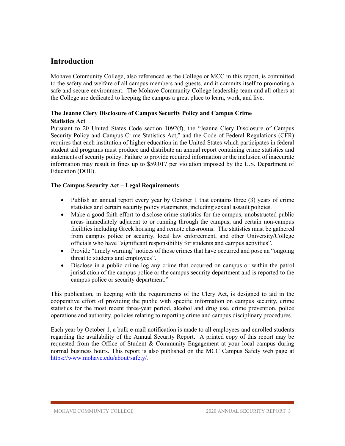## **Introduction**

Mohave Community College, also referenced as the College or MCC in this report, is committed to the safety and welfare of all campus members and guests, and it commits itself to promoting a safe and secure environment. The Mohave Community College leadership team and all others at the College are dedicated to keeping the campus a great place to learn, work, and live.

## <span id="page-2-1"></span><span id="page-2-0"></span>**The Jeanne Clery Disclosure of Campus Security Policy and Campus Crime Statistics Act**

Pursuant to 20 United States Code section 1092(f), the "Jeanne Clery Disclosure of Campus Security Policy and Campus Crime Statistics Act," and the Code of Federal Regulations (CFR) requires that each institution of higher education in the United States which participates in federal student aid programs must produce and distribute an annual report containing crime statistics and statements of security policy. Failure to provide required information or the inclusion of inaccurate information may result in fines up to \$59,017 per violation imposed by the U.S. Department of Education (DOE).

## <span id="page-2-2"></span>**The Campus Security Act – Legal Requirements**

- Publish an annual report every year by October 1 that contains three (3) years of crime statistics and certain security policy statements, including sexual assault policies.
- Make a good faith effort to disclose crime statistics for the campus, unobstructed public areas immediately adjacent to or running through the campus, and certain non-campus facilities including Greek housing and remote classrooms. The statistics must be gathered from campus police or security, local law enforcement, and other University/College officials who have "significant responsibility for students and campus activities".
- Provide "timely warning" notices of those crimes that have occurred and pose an "ongoing" threat to students and employees".
- Disclose in a public crime log any crime that occurred on campus or within the patrol jurisdiction of the campus police or the campus security department and is reported to the campus police or security department."

This publication, in keeping with the requirements of the Clery Act, is designed to aid in the cooperative effort of providing the public with specific information on campus security, crime statistics for the most recent three-year period, alcohol and drug use, crime prevention, police operations and authority, policies relating to reporting crime and campus disciplinary procedures.

Each year by October 1, a bulk e-mail notification is made to all employees and enrolled students regarding the availability of the Annual Security Report. A printed copy of this report may be requested from the Office of Student & Community Engagement at your local campus during normal business hours. This report is also published on the MCC Campus Safety web page at [https://www.mohave.edu/about/safety/.](https://www.mohave.edu/about/safety/)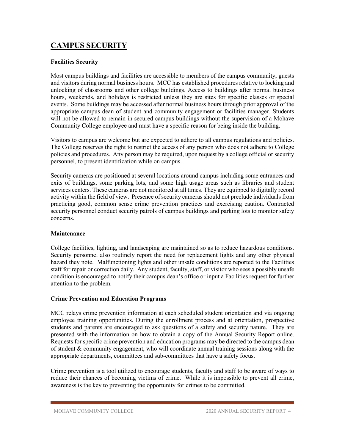## <span id="page-3-0"></span>**CAMPUS SECURITY**

## <span id="page-3-1"></span>**Facilities Security**

Most campus buildings and facilities are accessible to members of the campus community, guests and visitors during normal business hours. MCC has established procedures relative to locking and unlocking of classrooms and other college buildings. Access to buildings after normal business hours, weekends, and holidays is restricted unless they are sites for specific classes or special events. Some buildings may be accessed after normal business hours through prior approval of the appropriate campus dean of student and community engagement or facilities manager. Students will not be allowed to remain in secured campus buildings without the supervision of a Mohave Community College employee and must have a specific reason for being inside the building.

Visitors to campus are welcome but are expected to adhere to all campus regulations and policies. The College reserves the right to restrict the access of any person who does not adhere to College policies and procedures. Any person may be required, upon request by a college official or security personnel, to present identification while on campus.

Security cameras are positioned at several locations around campus including some entrances and exits of buildings, some parking lots, and some high usage areas such as libraries and student services centers. These cameras are not monitored at all times. They are equipped to digitally record activity within the field of view. Presence of security cameras should not preclude individuals from practicing good, common sense crime prevention practices and exercising caution. Contracted security personnel conduct security patrols of campus buildings and parking lots to monitor safety concerns.

## <span id="page-3-2"></span>**Maintenance**

College facilities, lighting, and landscaping are maintained so as to reduce hazardous conditions. Security personnel also routinely report the need for replacement lights and any other physical hazard they note. Malfunctioning lights and other unsafe conditions are reported to the Facilities staff for repair or correction daily. Any student, faculty, staff, or visitor who sees a possibly unsafe condition is encouraged to notify their campus dean's office or input a Facilities request for further attention to the problem.

## <span id="page-3-3"></span>**Crime Prevention and Education Programs**

MCC relays crime prevention information at each scheduled student orientation and via ongoing employee training opportunities. During the enrollment process and at orientation, prospective students and parents are encouraged to ask questions of a safety and security nature. They are presented with the information on how to obtain a copy of the Annual Security Report online. Requests for specific crime prevention and education programs may be directed to the campus dean of student & community engagement, who will coordinate annual training sessions along with the appropriate departments, committees and sub-committees that have a safety focus.

Crime prevention is a tool utilized to encourage students, faculty and staff to be aware of ways to reduce their chances of becoming victims of crime. While it is impossible to prevent all crime, awareness is the key to preventing the opportunity for crimes to be committed.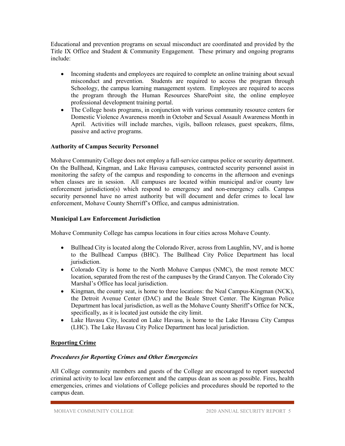Educational and prevention programs on sexual misconduct are coordinated and provided by the Title IX Office and Student & Community Engagement. These primary and ongoing programs include:

- Incoming students and employees are required to complete an online training about sexual misconduct and prevention. Students are required to access the program through Schoology, the campus learning management system. Employees are required to access the program through the Human Resources SharePoint site, the online employee professional development training portal.
- The College hosts programs, in conjunction with various community resource centers for Domestic Violence Awareness month in October and Sexual Assault Awareness Month in April. Activities will include marches, vigils, balloon releases, guest speakers, films, passive and active programs.

## <span id="page-4-0"></span>**Authority of Campus Security Personnel**

Mohave Community College does not employ a full-service campus police or security department. On the Bullhead, Kingman, and Lake Havasu campuses, contracted security personnel assist in monitoring the safety of the campus and responding to concerns in the afternoon and evenings when classes are in session. All campuses are located within municipal and/or county law enforcement jurisdiction(s) which respond to emergency and non-emergency calls. Campus security personnel have no arrest authority but will document and defer crimes to local law enforcement, Mohave County Sherriff's Office, and campus administration.

## <span id="page-4-1"></span>**Municipal Law Enforcement Jurisdiction**

Mohave Community College has campus locations in four cities across Mohave County.

- Bullhead City is located along the Colorado River, across from Laughlin, NV, and is home to the Bullhead Campus (BHC). The Bullhead City Police Department has local jurisdiction.
- Colorado City is home to the North Mohave Campus (NMC), the most remote MCC location, separated from the rest of the campuses by the Grand Canyon. The Colorado City Marshal's Office has local jurisdiction.
- Kingman, the county seat, is home to three locations: the Neal Campus-Kingman (NCK), the Detroit Avenue Center (DAC) and the Beale Street Center. The Kingman Police Department has local jurisdiction, as well as the Mohave County Sheriff's Office for NCK, specifically, as it is located just outside the city limit.
- Lake Havasu City, located on Lake Havasu, is home to the Lake Havasu City Campus (LHC). The Lake Havasu City Police Department has local jurisdiction.

## <span id="page-4-2"></span>**Reporting Crime**

## *Procedures for Reporting Crimes and Other Emergencies*

All College community members and guests of the College are encouraged to report suspected criminal activity to local law enforcement and the campus dean as soon as possible. Fires, health emergencies, crimes and violations of College policies and procedures should be reported to the campus dean.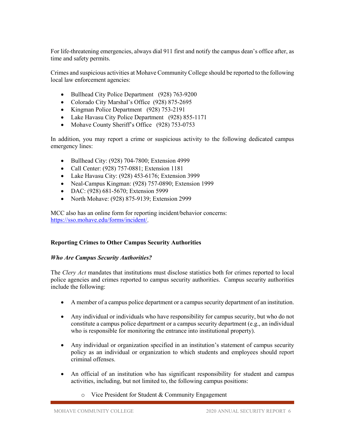For life-threatening emergencies, always dial 911 first and notify the campus dean's office after, as time and safety permits.

Crimes and suspicious activities at Mohave Community College should be reported to the following local law enforcement agencies:

- Bullhead City Police Department (928) 763-9200
- Colorado City Marshal's Office (928) 875-2695
- Kingman Police Department (928) 753-2191
- Lake Havasu City Police Department (928) 855-1171
- Mohave County Sheriff's Office (928) 753-0753

In addition, you may report a crime or suspicious activity to the following dedicated campus emergency lines:

- Bullhead City: (928) 704-7800; Extension 4999
- Call Center: (928) 757-0881; Extension 1181
- Lake Havasu City: (928) 453-6176; Extension 3999
- Neal-Campus Kingman: (928) 757-0890; Extension 1999
- DAC: (928) 681-5670; Extension 5999
- North Mohave: (928) 875-9139; Extension 2999

MCC also has an online form for reporting incident/behavior concerns: [https://sso.mohave.edu/forms/incident/.](https://sso.mohave.edu/forms/incident/)

## <span id="page-5-0"></span>**Reporting Crimes to Other Campus Security Authorities**

## *Who Are Campus Security Authorities?*

The *Clery Act* mandates that institutions must disclose statistics both for crimes reported to local police agencies and crimes reported to campus security authorities. Campus security authorities include the following:

- A member of a campus police department or a campus security department of an institution.
- Any individual or individuals who have responsibility for campus security, but who do not constitute a campus police department or a campus security department (e.g., an individual who is responsible for monitoring the entrance into institutional property).
- Any individual or organization specified in an institution's statement of campus security policy as an individual or organization to which students and employees should report criminal offenses.
- An official of an institution who has significant responsibility for student and campus activities, including, but not limited to, the following campus positions:
	- o Vice President for Student & Community Engagement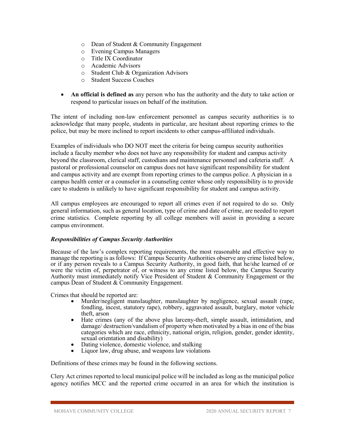- o Dean of Student & Community Engagement
- o Evening Campus Managers
- o Title IX Coordinator
- o Academic Advisors
- o Student Club & Organization Advisors
- o Student Success Coaches
- **An official is defined as** any person who has the authority and the duty to take action or respond to particular issues on behalf of the institution.

The intent of including non-law enforcement personnel as campus security authorities is to acknowledge that many people, students in particular, are hesitant about reporting crimes to the police, but may be more inclined to report incidents to other campus-affiliated individuals.

Examples of individuals who DO NOT meet the criteria for being campus security authorities include a faculty member who does not have any responsibility for student and campus activity beyond the classroom, clerical staff, custodians and maintenance personnel and cafeteria staff. A pastoral or professional counselor on campus does not have significant responsibility for student and campus activity and are exempt from reporting crimes to the campus police. A physician in a campus health center or a counselor in a counseling center whose only responsibility is to provide care to students is unlikely to have significant responsibility for student and campus activity.

All campus employees are encouraged to report all crimes even if not required to do so. Only general information, such as general location, type of crime and date of crime, are needed to report crime statistics. Complete reporting by all college members will assist in providing a secure campus environment.

## *Responsibilities of Campus Security Authorities*

Because of the law's complex reporting requirements, the most reasonable and effective way to manage the reporting is as follows: If Campus Security Authorities observe any crime listed below, or if any person reveals to a Campus Security Authority, in good faith, that he/she learned of or were the victim of, perpetrator of, or witness to any crime listed below, the Campus Security Authority must immediately notify Vice President of Student & Community Engagement or the campus Dean of Student & Community Engagement.

Crimes that should be reported are:

- Murder/negligent manslaughter, manslaughter by negligence, sexual assault (rape, fondling, incest, statutory rape), robbery, aggravated assault, burglary, motor vehicle theft, arson
- Hate crimes (any of the above plus larceny-theft, simple assault, intimidation, and damage/ destruction/vandalism of property when motivated by a bias in one of the bias categories which are race, ethnicity, national origin, religion, gender, gender identity,
- Dating violence, domestic violence, and stalking<br>Liquor law, drug abuse, and weapons law violations
- 

Definitions of these crimes may be found in the following sections.

Clery Act crimes reported to local municipal police will be included as long as the municipal police agency notifies MCC and the reported crime occurred in an area for which the institution is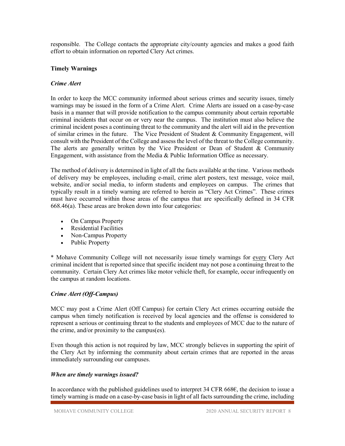responsible. The College contacts the appropriate city/county agencies and makes a good faith effort to obtain information on reported Clery Act crimes.

## <span id="page-7-0"></span>**Timely Warnings**

#### *Crime Alert*

In order to keep the MCC community informed about serious crimes and security issues, timely warnings may be issued in the form of a Crime Alert. Crime Alerts are issued on a case-by-case basis in a manner that will provide notification to the campus community about certain reportable criminal incidents that occur on or very near the campus. The institution must also believe the criminal incident poses a continuing threat to the community and the alert will aid in the prevention of similar crimes in the future. The Vice President of Student & Community Engagement, will consult with the President of the College and assess the level of the threat to the College community. The alerts are generally written by the Vice President or Dean of Student & Community Engagement, with assistance from the Media & Public Information Office as necessary.

The method of delivery is determined in light of all the facts available at the time. Various methods of delivery may be employees, including e-mail, crime alert posters, text message, voice mail, website, and/or social media, to inform students and employees on campus. The crimes that typically result in a timely warning are referred to herein as "Clery Act Crimes". These crimes must have occurred within those areas of the campus that are specifically defined in 34 CFR 668.46(a). These areas are broken down into four categories:

- On Campus Property
- Residential Facilities
- Non-Campus Property
- Public Property

\* Mohave Community College will not necessarily issue timely warnings for every Clery Act criminal incident that is reported since that specific incident may not pose a continuing threat to the community. Certain Clery Act crimes like motor vehicle theft, for example, occur infrequently on the campus at random locations.

## *Crime Alert (Off-Campus)*

MCC may post a Crime Alert (Off Campus) for certain Clery Act crimes occurring outside the campus when timely notification is received by local agencies and the offense is considered to represent a serious or continuing threat to the students and employees of MCC due to the nature of the crime, and/or proximity to the campus(es).

Even though this action is not required by law, MCC strongly believes in supporting the spirit of the Clery Act by informing the community about certain crimes that are reported in the areas immediately surrounding our campuses.

#### *When are timely warnings issued?*

In accordance with the published guidelines used to interpret 34 CFR 668€, the decision to issue a timely warning is made on a case-by-case basis in light of all facts surrounding the crime, including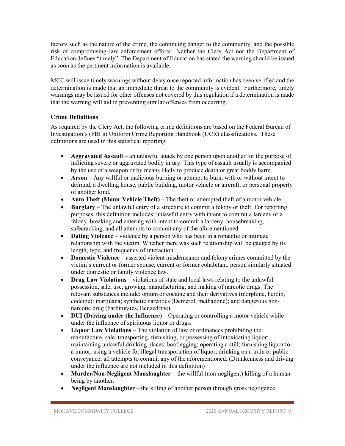factors such as the nature of the crime, the continuing danger to the community, and the possible risk of compromising law enforcement efforts. Neither the Clery Act nor the Department of Education defines "timely". The Department of Education has stated the warning should be issued as soon as the pertinent information is available.

MCC will issue timely warnings without delay once reported information has been verified and the determination is made that an immediate threat to the community is evident. Furthermore, timely warnings may be issued for other offenses not covered by this regulation if a determination is made that the warning will aid in preventing similar offenses from occurring.

## <span id="page-8-0"></span>**Crime Definitions**

As required by the Clery Act, the following crime definitions are based on the Federal Bureau of Investigation's (FBI's) Uniform Crime Reporting Handbook (UCR) classifications. These definitions are used in this statistical reporting.

- **Aggravated Assault** an unlawful attack by one person upon another for the purpose of inflicting severe or aggravated bodily injury. This type of assault usually is accompanied by the use of a weapon or by means likely to produce death or great bodily harm.
- **Arson** Any willful or malicious burning or attempt to burn, with or without intent to defraud, a dwelling house, public building, motor vehicle or aircraft, or personal property of another kind.
- **Auto Theft (Motor Vehicle Theft)** The theft or attempted theft of a motor vehicle.
- **Burglary** The unlawful entry of a structure to commit a felony or theft. For reporting purposes, this definition includes: unlawful entry with intent to commit a larceny or a felony, breaking and entering with intent to commit a larceny, housebreaking, safecracking, and all attempts to commit any of the aforementioned.
- **Dating Violence** violence by a person who has been in a romantic or intimate relationship with the victim. Whether there was such relationship will be gauged by its length, type, and frequency of interaction
- **Domestic Violence** asserted violent misdemeanor and felony crimes committed by the victim's current or former spouse, current or former cohabitant, person similarly situated under domestic or family violence law.
- **Drug Law Violations** violations of state and local laws relating to the unlawful possession, sale, use, growing, manufacturing, and making of narcotic drugs. The relevant substances include: opium or cocaine and their derivatives (morphine, heroin, codeine): marijuana; synthetic narcotics (Demerol, methadone); and dangerous nonnarcotic drug (barbiturates, Benzedrine).
- **DUI (Driving under the Influence)** Operating or controlling a motor vehicle while under the influence of spirituous liquor or drugs.
- **Liquor Law Violations** The violation of law or ordinances prohibiting the manufacture, sale, transporting, furnishing, or possessing of intoxicating liquor; maintaining unlawful drinking places; bootlegging; operating a still; furnishing liquor to a minor; using a vehicle for illegal transportation of liquor; drinking on a train or public conveyance; all attempts to commit any of the aforementioned. (Drunkenness and driving under the influence are not included in this definition)
- **Murder/Non-Negligent Manslaughter** the willful (non-negligent) killing of a human being by another.
- **Negligent Manslaughter** the killing of another person through gross negligence.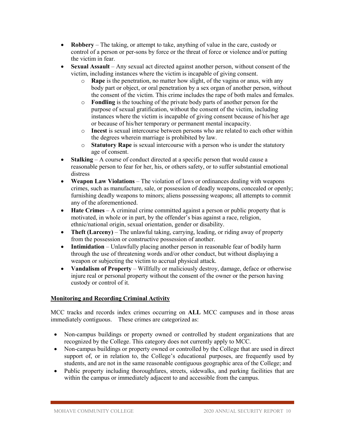- **Robbery** The taking, or attempt to take, anything of value in the care, custody or control of a person or per-sons by force or the threat of force or violence and/or putting the victim in fear.
- **Sexual Assault** Any sexual act directed against another person, without consent of the victim, including instances where the victim is incapable of giving consent.
	- o **Rape** is the penetration, no matter how slight, of the vagina or anus, with any body part or object, or oral penetration by a sex organ of another person, without the consent of the victim. This crime includes the rape of both males and females.
	- o **Fondling** is the touching of the private body parts of another person for the purpose of sexual gratification, without the consent of the victim, including instances where the victim is incapable of giving consent because of his/her age or because of his/her temporary or permanent mental incapacity.
	- o **Incest** is sexual intercourse between persons who are related to each other within the degrees wherein marriage is prohibited by law.
	- o **Statutory Rape** is sexual intercourse with a person who is under the statutory age of consent.
- **Stalking** A course of conduct directed at a specific person that would cause a reasonable person to fear for her, his, or others safety, or to suffer substantial emotional distress
- **Weapon Law Violations** The violation of laws or ordinances dealing with weapons crimes, such as manufacture, sale, or possession of deadly weapons, concealed or openly; furnishing deadly weapons to minors; aliens possessing weapons; all attempts to commit any of the aforementioned.
- **Hate Crimes** A criminal crime committed against a person or public property that is motivated, in whole or in part, by the offender's bias against a race, religion, ethnic/national origin, sexual orientation, gender or disability.
- **Theft (Larceny)** The unlawful taking, carrying, leading, or riding away of property from the possession or constructive possession of another.
- **Intimidation** Unlawfully placing another person in reasonable fear of bodily harm through the use of threatening words and/or other conduct, but without displaying a weapon or subjecting the victim to accrual physical attack.
- **Vandalism of Property** Willfully or maliciously destroy, damage, deface or otherwise injure real or personal property without the consent of the owner or the person having custody or control of it.

## <span id="page-9-0"></span>**Monitoring and Recording Criminal Activity**

MCC tracks and records index crimes occurring on **ALL** MCC campuses and in those areas immediately contiguous. These crimes are categorized as:

- Non-campus buildings or property owned or controlled by student organizations that are recognized by the College. This category does not currently apply to MCC.
- Non-campus buildings or property owned or controlled by the College that are used in direct support of, or in relation to, the College's educational purposes, are frequently used by students, and are not in the same reasonable contiguous geographic area of the College; and
- Public property including thoroughfares, streets, sidewalks, and parking facilities that are within the campus or immediately adjacent to and accessible from the campus.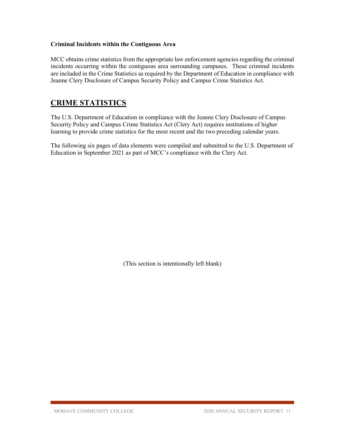## **Criminal Incidents within the Contiguous Area**

MCC obtains crime statistics from the appropriate law enforcement agencies regarding the criminal incidents occurring within the contiguous area surrounding campuses. These criminal incidents are included in the Crime Statistics as required by the Department of Education in compliance with Jeanne Clery Disclosure of Campus Security Policy and Campus Crime Statistics Act.

## <span id="page-10-0"></span>**CRIME STATISTICS**

The U.S. Department of Education in compliance with the Jeanne Clery Disclosure of Campus Security Policy and Campus Crime Statistics Act (Clery Act) requires institutions of higher learning to provide crime statistics for the most recent and the two preceding calendar years.

The following six pages of data elements were compiled and submitted to the U.S. Department of Education in September 2021 as part of MCC's compliance with the Clery Act.

(This section is intentionally left blank)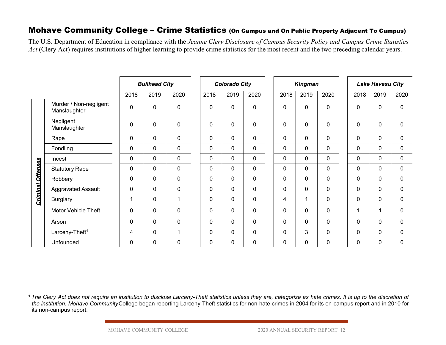## Mohave Community College – Crime Statistics (On Campus and On Public Property Adjacent To Campus)

The U.S. Department of Education in compliance with the *Jeanne Clery Disclosure of Campus Security Policy and Campus Crime Statistics Act* (Clery Act) requires institutions of higher learning to provide crime statistics for the most recent and the two preceding calendar years.

|                          |                                                                                                                                                                                                                                                                                                                                                  | <b>Bullhead City</b> |             |              | <b>Colorado City</b> |              |             | <b>Kingman</b> |                | <b>Lake Havasu City</b> |             |              |             |
|--------------------------|--------------------------------------------------------------------------------------------------------------------------------------------------------------------------------------------------------------------------------------------------------------------------------------------------------------------------------------------------|----------------------|-------------|--------------|----------------------|--------------|-------------|----------------|----------------|-------------------------|-------------|--------------|-------------|
|                          |                                                                                                                                                                                                                                                                                                                                                  | 2018                 | 2019        | 2020         | 2018                 | 2019         | 2020        | 2018           | 2019           | 2020                    | 2018        | 2019         | 2020        |
|                          | Murder / Non-negligent<br>Manslaughter                                                                                                                                                                                                                                                                                                           | $\mathbf 0$          | $\mathbf 0$ | $\pmb{0}$    | 0                    | $\mathbf 0$  | $\mathbf 0$ | $\mathbf 0$    | $\mathbf 0$    | $\mathbf 0$             | 0           | $\mathbf 0$  | $\pmb{0}$   |
|                          | Negligent<br>Manslaughter                                                                                                                                                                                                                                                                                                                        | $\mathbf 0$          | $\mathbf 0$ | $\pmb{0}$    | $\mathbf 0$          | $\mathbf 0$  | $\mathbf 0$ | $\mathbf 0$    | $\mathbf 0$    | $\mathbf 0$             | 0           | $\mathbf 0$  | $\mathbf 0$ |
|                          | Rape                                                                                                                                                                                                                                                                                                                                             | $\mathbf 0$          | $\mathbf 0$ | $\pmb{0}$    | 0                    | $\mathbf 0$  | $\pmb{0}$   | $\mathbf 0$    | 0              | $\pmb{0}$               | 0           | $\mathbf 0$  | $\pmb{0}$   |
|                          | Fondling                                                                                                                                                                                                                                                                                                                                         | $\mathbf 0$          | $\mathbf 0$ | $\pmb{0}$    | 0                    | $\mathbf 0$  | $\mathbf 0$ | $\mathbf 0$    | $\mathbf 0$    | $\mathbf 0$             | 0           | $\mathbf 0$  | $\pmb{0}$   |
|                          | Incest                                                                                                                                                                                                                                                                                                                                           | $\mathbf 0$          | $\mathbf 0$ | $\pmb{0}$    | 0                    | $\mathbf 0$  | $\mathbf 0$ | $\mathbf 0$    | 0              | $\mathbf 0$             | 0           | $\pmb{0}$    | $\pmb{0}$   |
|                          | <b>Statutory Rape</b>                                                                                                                                                                                                                                                                                                                            | $\mathbf 0$          | $\mathbf 0$ | $\pmb{0}$    | 0                    | $\mathbf 0$  | $\mathbf 0$ | $\mathbf 0$    | 0              | $\mathbf 0$             | 0           | $\pmb{0}$    | $\pmb{0}$   |
|                          | Robbery                                                                                                                                                                                                                                                                                                                                          | $\mathbf 0$          | $\mathbf 0$ | $\mathbf 0$  | 0                    | $\mathbf 0$  | $\mathbf 0$ | $\mathbf 0$    | 0              | $\mathbf 0$             | 0           | $\mathbf 0$  | $\mathbf 0$ |
|                          | <b>Aggravated Assault</b>                                                                                                                                                                                                                                                                                                                        | $\mathbf 0$          | $\mathbf 0$ | $\pmb{0}$    | $\mathbf 0$          | $\mathbf 0$  | $\mathbf 0$ | $\mathbf 0$    | 0              | $\mathbf 0$             | 0           | $\mathbf 0$  | $\pmb{0}$   |
| <b>Criminal Offenses</b> | <b>Burglary</b>                                                                                                                                                                                                                                                                                                                                  | $\mathbf{1}$         | $\mathbf 0$ | $\mathbf{1}$ | $\mathbf 0$          | $\mathbf{0}$ | $\mathbf 0$ | $\overline{4}$ | 1              | $\mathbf 0$             | $\mathbf 0$ | $\mathbf 0$  | $\mathbf 0$ |
|                          | <b>Motor Vehicle Theft</b>                                                                                                                                                                                                                                                                                                                       | $\mathbf 0$          | $\mathbf 0$ | $\pmb{0}$    | 0                    | $\mathbf 0$  | $\mathbf 0$ | $\mathbf 0$    | 0              | $\mathbf 0$             | 1           | $\mathbf{1}$ | $\pmb{0}$   |
|                          | Arson                                                                                                                                                                                                                                                                                                                                            | $\mathbf 0$          | $\mathbf 0$ | $\mathbf 0$  | 0                    | $\mathbf 0$  | $\mathbf 0$ | $\mathbf 0$    | 0              | $\mathbf 0$             | 0           | $\mathbf 0$  | $\mathbf 0$ |
|                          | Larceny-Theft <sup>1</sup>                                                                                                                                                                                                                                                                                                                       | 4                    | $\mathbf 0$ | $\mathbf{1}$ | 0                    | $\mathbf 0$  | $\mathbf 0$ | $\mathbf 0$    | 3 <sup>1</sup> | $\mathbf 0$             | 0           | $\mathbf 0$  | $\mathbf 0$ |
|                          | Unfounded                                                                                                                                                                                                                                                                                                                                        | $\mathbf 0$          | 0           | $\pmb{0}$    | 0                    | $\mathbf 0$  | $\pmb{0}$   | $\mathbf 0$    | 0              | 0                       | 0           | $\pmb{0}$    | $\mathbf 0$ |
|                          | The Clery Act does not require an institution to disclose Larceny-Theft statistics unless they are, categorize as hate crimes. It is up to the discretion of<br>the institution. Mohave CommunityCollege began reporting Larceny-Theft statistics for non-hate crimes in 2004 for its on-campus report and in 2010 for<br>its non-campus report. |                      |             |              |                      |              |             |                |                |                         |             |              |             |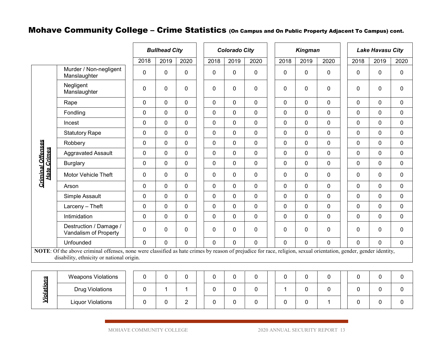## Mohave Community College – Crime Statistics (On Campus and On Public Property Adjacent To Campus) cont.

|                                                |                                                                                                                                                                                                                |             | <b>Bullhead City</b> |             |  | <b>Colorado City</b> |             |                |  |              | <b>Kingman</b> |             | <b>Lake Havasu City</b> |  |           |             |
|------------------------------------------------|----------------------------------------------------------------------------------------------------------------------------------------------------------------------------------------------------------------|-------------|----------------------|-------------|--|----------------------|-------------|----------------|--|--------------|----------------|-------------|-------------------------|--|-----------|-------------|
|                                                |                                                                                                                                                                                                                | 2018        | 2019                 | 2020        |  | 2018                 | 2019        | 2020           |  | 2018         | 2019           | 2020        | 2018                    |  | 2019      | 2020        |
|                                                | Murder / Non-negligent<br>Manslaughter                                                                                                                                                                         | $\mathbf 0$ | 0                    | $\mathbf 0$ |  | $\mathbf{0}$         | $\mathbf 0$ | 0              |  | $\mathbf 0$  | $\mathbf 0$    | $\pmb{0}$   | 0                       |  | $\pmb{0}$ | $\pmb{0}$   |
|                                                | Negligent<br>Manslaughter                                                                                                                                                                                      | 0           | 0                    | 0           |  | $\mathbf 0$          | $\Omega$    | 0              |  | $\mathbf 0$  | $\mathbf 0$    | $\mathbf 0$ | 0                       |  | 0         | 0           |
|                                                | Rape                                                                                                                                                                                                           | 0           | 0                    | $\mathbf 0$ |  | $\mathbf 0$          | $\mathbf 0$ | 0              |  | 0            | $\mathbf 0$    | $\mathbf 0$ | 0                       |  | 0         | 0           |
|                                                | Fondling                                                                                                                                                                                                       | 0           | 0                    | $\mathbf 0$ |  | $\Omega$             | $\Omega$    | 0              |  | $\mathbf 0$  | $\mathbf 0$    | $\mathbf 0$ | 0                       |  | 0         | $\mathbf 0$ |
|                                                | Incest                                                                                                                                                                                                         | 0           | $\mathbf{0}$         | $\mathbf 0$ |  | $\Omega$             | $\Omega$    | 0              |  | $\mathbf{0}$ | $\mathbf{0}$   | $\mathbf 0$ | 0                       |  | 0         | 0           |
|                                                | <b>Statutory Rape</b>                                                                                                                                                                                          | $\mathbf 0$ | $\overline{0}$       | 0           |  | $\mathbf 0$          | $\mathbf 0$ | 0              |  | $\mathbf 0$  | $\mathbf 0$    | $\mathbf 0$ | 0                       |  | 0         | $\pmb{0}$   |
|                                                | Robbery                                                                                                                                                                                                        | 0           | 0                    | 0           |  | $\Omega$             | $\Omega$    | 0              |  | $\mathbf{0}$ | $\mathbf 0$    | $\mathbf 0$ | $\Omega$                |  | 0         | 0           |
|                                                | <b>Aggravated Assault</b>                                                                                                                                                                                      | 0           | 0                    | $\mathbf 0$ |  | $\mathbf 0$          | $\Omega$    | 0              |  | $\mathbf 0$  | $\mathbf 0$    | $\mathbf 0$ | 0                       |  | 0         | 0           |
|                                                | <b>Burglary</b>                                                                                                                                                                                                | $\mathbf 0$ | 0                    | 0           |  | $\Omega$             | $\Omega$    | 0              |  | $\Omega$     | $\mathbf 0$    | $\mathbf 0$ | 0                       |  | 0         | 0           |
| <b>Criminal Offenses</b><br><b>Hate Crimes</b> | Motor Vehicle Theft                                                                                                                                                                                            | 0           | 0                    | 0           |  | $\mathbf{0}$         | $\mathbf 0$ | 0              |  | $\mathbf{0}$ | $\mathbf 0$    | $\mathbf 0$ | 0                       |  | 0         | 0           |
|                                                | Arson                                                                                                                                                                                                          | 0           | 0                    | 0           |  | $\Omega$             | $\mathbf 0$ | 0              |  | 0            | 0              | $\mathbf 0$ | $\Omega$                |  | 0         | 0           |
|                                                | Simple Assault                                                                                                                                                                                                 | 0           | 0                    | 0           |  | $\Omega$             | $\Omega$    | 0              |  | $\mathbf{0}$ | $\mathbf{0}$   | $\mathbf 0$ | 0                       |  | 0         | 0           |
|                                                | $Larceny - Theft$                                                                                                                                                                                              | $\mathbf 0$ | 0                    | $\mathbf 0$ |  | $\mathbf 0$          | $\mathbf 0$ | $\overline{0}$ |  | $\mathbf 0$  | $\mathbf 0$    | $\mathbf 0$ | 0                       |  | 0         | $\mathbf 0$ |
|                                                | Intimidation                                                                                                                                                                                                   | 0           | 0                    | $\mathbf 0$ |  | $\mathbf 0$          | $\mathbf 0$ | 0              |  | $\mathbf 0$  | $\mathbf 0$    | $\mathbf 0$ | 0                       |  | 0         | 0           |
|                                                | Destruction / Damage /<br>Vandalism of Property                                                                                                                                                                | $\mathbf 0$ | 0                    | 0           |  | $\mathbf 0$          | $\mathbf 0$ | 0              |  | $\mathbf 0$  | $\mathbf 0$    | $\pmb{0}$   | 0                       |  | 0         | 0           |
|                                                | Unfounded                                                                                                                                                                                                      | 0           | 0                    | $\pmb{0}$   |  | 0                    | $\mathbf 0$ | 0              |  | 0            | $\mathbf 0$    | $\mathbf 0$ | 0                       |  | 0         | $\mathbf 0$ |
|                                                | NOTE: Of the above criminal offenses, none were classified as hate crimes by reason of prejudice for race, religion, sexual orientation, gender, gender identity,<br>disability, ethnicity or national origin. |             |                      |             |  |                      |             |                |  |              |                |             |                         |  |           |             |

| <b>SO</b> | <b>Weapons Violations</b> |  |  |          |  |  |  |  |  |  |  |
|-----------|---------------------------|--|--|----------|--|--|--|--|--|--|--|
|           | <b>Drug Violations</b>    |  |  |          |  |  |  |  |  |  |  |
|           | <b>Liquor Violations</b>  |  |  | <u>_</u> |  |  |  |  |  |  |  |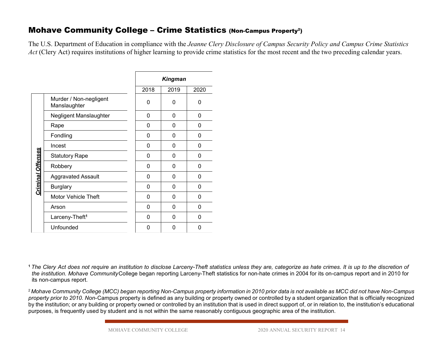## Mohave Community College – Crime Statistics (Non-Campus Property<sup>2</sup>)

The U.S. Department of Education in compliance with the *Jeanne Clery Disclosure of Campus Security Policy and Campus Crime Statistics Act* (Clery Act) requires institutions of higher learning to provide crime statistics for the most recent and the two preceding calendar years.

|                          |                                        |             | <b>Kingman</b> |              |                                                                                                                                                                                                                                                              |
|--------------------------|----------------------------------------|-------------|----------------|--------------|--------------------------------------------------------------------------------------------------------------------------------------------------------------------------------------------------------------------------------------------------------------|
|                          |                                        | 2018        | 2019           | 2020         |                                                                                                                                                                                                                                                              |
|                          | Murder / Non-negligent<br>Manslaughter | 0           | 0              | $\mathbf{0}$ |                                                                                                                                                                                                                                                              |
|                          | Negligent Manslaughter                 | $\mathbf 0$ | $\mathbf 0$    | $\mathbf 0$  |                                                                                                                                                                                                                                                              |
|                          | Rape                                   | $\mathbf 0$ | $\mathbf 0$    | 0            |                                                                                                                                                                                                                                                              |
|                          | Fondling                               | $\mathbf 0$ | $\mathbf 0$    | $\mathbf 0$  |                                                                                                                                                                                                                                                              |
|                          | Incest                                 | $\mathbf 0$ | 0              | $\mathbf 0$  |                                                                                                                                                                                                                                                              |
|                          | <b>Statutory Rape</b>                  | $\mathbf 0$ | $\Omega$       | $\mathbf{0}$ |                                                                                                                                                                                                                                                              |
|                          | Robbery                                | 0           | 0              | $\mathbf{0}$ |                                                                                                                                                                                                                                                              |
| <b>Criminal Offenses</b> | <b>Aggravated Assault</b>              | $\pmb{0}$   | $\pmb{0}$      | 0            |                                                                                                                                                                                                                                                              |
|                          | <b>Burglary</b>                        | $\mathbf 0$ | 0              | 0            |                                                                                                                                                                                                                                                              |
|                          | Motor Vehicle Theft                    | $\mathbf 0$ | 0              | 0            |                                                                                                                                                                                                                                                              |
|                          | Arson                                  | $\mathbf 0$ | 0              | $\mathbf 0$  |                                                                                                                                                                                                                                                              |
|                          | Larceny-Theft <sup>1</sup>             | $\mathbf 0$ | $\pmb{0}$      | 0            |                                                                                                                                                                                                                                                              |
|                          | Unfounded                              | $\mathbf 0$ | $\mathbf 0$    | $\mathbf 0$  |                                                                                                                                                                                                                                                              |
|                          |                                        |             |                |              | 1 The Clery Act does not require an institution to disclose Larceny-Theft statistics unless they are, categorize as hate crime<br>the institution. Mohave CommunityCollege began reporting Larceny-Theft statistics for non-hate crimes in 2004 for its on-c |

**<sup>1</sup>***The Clery Act does not require an institution to disclose Larceny-Theft statistics unless they are, categorize as hate crimes. It is up to the discretion of the institution. Mohave Community*College began reporting Larceny-Theft statistics for non-hate crimes in 2004 for its on-campus report and in 2010 for its non-campus report.

<sup>2</sup>*Mohave Community College (MCC) began reporting Non-Campus property information in 2010 prior data is not available as MCC did not have Non-Campus property prior to 2010. Non-*Campus property is defined as any building or property owned or controlled by a student organization that is officially recognized by the institution; or any building or property owned or controlled by an institution that is used in direct support of, or in relation to, the institution's educational purposes, is frequently used by student and is not w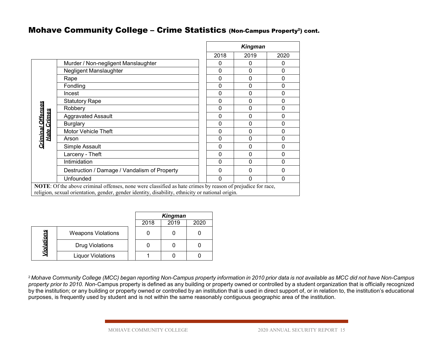## Mohave Community College - Crime Statistics (Non-Campus Property<sup>2</sup>) cont.

|                                         |                                                                                                                                                                                                                       |             | <b>Kingman</b> |              |  |  |  |  |  |  |
|-----------------------------------------|-----------------------------------------------------------------------------------------------------------------------------------------------------------------------------------------------------------------------|-------------|----------------|--------------|--|--|--|--|--|--|
|                                         |                                                                                                                                                                                                                       | 2018        | 2019           | 2020         |  |  |  |  |  |  |
|                                         | Murder / Non-negligent Manslaughter                                                                                                                                                                                   | 0           | 0              | 0            |  |  |  |  |  |  |
|                                         | Negligent Manslaughter                                                                                                                                                                                                | 0           | $\Omega$       | $\mathbf 0$  |  |  |  |  |  |  |
|                                         | Rape                                                                                                                                                                                                                  | $\mathbf 0$ | $\Omega$       | $\mathbf 0$  |  |  |  |  |  |  |
|                                         | Fondling                                                                                                                                                                                                              | 0           | 0              | 0            |  |  |  |  |  |  |
|                                         | Incest                                                                                                                                                                                                                | $\mathbf 0$ | $\Omega$       | $\mathbf 0$  |  |  |  |  |  |  |
|                                         | <b>Statutory Rape</b>                                                                                                                                                                                                 | $\mathbf 0$ | $\Omega$       | $\mathbf{0}$ |  |  |  |  |  |  |
|                                         | Robbery                                                                                                                                                                                                               | $\mathbf 0$ | $\Omega$       | $\mathbf 0$  |  |  |  |  |  |  |
| Criminal Offenses<br><u>Hate Crimes</u> | <b>Aggravated Assault</b>                                                                                                                                                                                             | $\mathbf 0$ | $\Omega$       | $\mathbf 0$  |  |  |  |  |  |  |
|                                         | <b>Burglary</b>                                                                                                                                                                                                       | 0           | 0              | $\mathbf 0$  |  |  |  |  |  |  |
|                                         | <b>Motor Vehicle Theft</b>                                                                                                                                                                                            | $\mathbf 0$ | 0              | $\mathbf{0}$ |  |  |  |  |  |  |
|                                         | Arson                                                                                                                                                                                                                 | $\Omega$    | $\Omega$       | $\mathbf{0}$ |  |  |  |  |  |  |
|                                         | Simple Assault                                                                                                                                                                                                        | 0           | $\Omega$       | $\mathbf{0}$ |  |  |  |  |  |  |
|                                         | Larceny - Theft                                                                                                                                                                                                       | 0           | $\Omega$       | $\mathbf{0}$ |  |  |  |  |  |  |
|                                         | Intimidation                                                                                                                                                                                                          | $\mathbf 0$ | $\Omega$       | $\mathbf 0$  |  |  |  |  |  |  |
|                                         | Destruction / Damage / Vandalism of Property                                                                                                                                                                          | 0           | $\Omega$       | $\mathbf{0}$ |  |  |  |  |  |  |
|                                         | Unfounded                                                                                                                                                                                                             | $\Omega$    | $\Omega$       | $\Omega$     |  |  |  |  |  |  |
|                                         | <b>NOTE:</b> Of the above criminal offenses, none were classified as hate crimes by reason of prejudice for race,<br>religion, sexual orientation, gender, gender identity, disability, ethnicity or national origin. |             |                |              |  |  |  |  |  |  |

|            |                           | <b>Kingman</b> |      |      |  |  |
|------------|---------------------------|----------------|------|------|--|--|
|            |                           | 2018           | 2019 | 2020 |  |  |
|            | <b>Weapons Violations</b> |                |      |      |  |  |
| Violations | <b>Drug Violations</b>    |                |      |      |  |  |
|            | <b>Liquor Violations</b>  |                |      |      |  |  |

<sup>2</sup>*Mohave Community College (MCC) began reporting Non-Campus property information in 2010 prior data is not available as MCC did not have Non-Campus property prior to 2010. Non-*Campus property is defined as any building or property owned or controlled by a student organization that is officially recognized by the institution; or any building or property owned or controlled by an institution that is used in direct support of, or in relation to, the institution's educational purposes, is frequently used by student and is not within the same reasonably contiguous geographic area of the institution.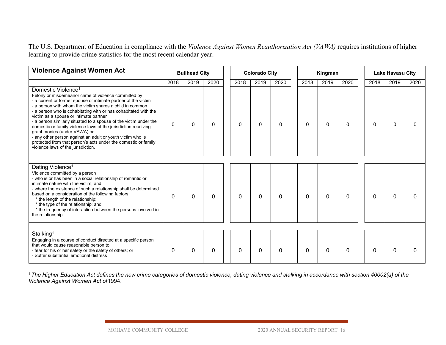The U.S. Department of Education in compliance with the *Violence Against Women Reauthorization Act (VAWA)* requires institutions of higher learning to provide crime statistics for the most recent calendar year.

| <b>Violence Against Women Act</b>                                                                                                                                                                                                                                                                                                                                                                                                                                                                                                                                                                                                                                              | <b>Bullhead City</b> |          |              |              | <b>Colorado City</b> |          |          | Kingman      |          |          | <b>Lake Havasu City</b> |              |  |  |
|--------------------------------------------------------------------------------------------------------------------------------------------------------------------------------------------------------------------------------------------------------------------------------------------------------------------------------------------------------------------------------------------------------------------------------------------------------------------------------------------------------------------------------------------------------------------------------------------------------------------------------------------------------------------------------|----------------------|----------|--------------|--------------|----------------------|----------|----------|--------------|----------|----------|-------------------------|--------------|--|--|
|                                                                                                                                                                                                                                                                                                                                                                                                                                                                                                                                                                                                                                                                                | 2018                 | 2019     | 2020         | 2018         | 2019                 | 2020     | 2018     | 2019         | 2020     | 2018     | 2019                    | 2020         |  |  |
| Domestic Violence <sup>1</sup><br>Felony or misdemeanor crime of violence committed by<br>- a current or former spouse or intimate partner of the victim<br>- a person with whom the victim shares a child in common<br>- a person who is cohabitating with or has cohabitated with the<br>victim as a spouse or intimate partner<br>- a person similarly situated to a spouse of the victim under the<br>domestic or family violence laws of the jurisdiction receiving<br>grant monies (under VAWA) or<br>- any other person against an adult or youth victim who is<br>protected from that person's acts under the domestic or family<br>violence laws of the jurisdiction. | $\Omega$             | $\Omega$ | $\Omega$     | $\Omega$     | $\Omega$             | $\Omega$ | $\Omega$ | $\Omega$     | $\Omega$ | $\Omega$ | 0                       | <sup>0</sup> |  |  |
| Dating Violence <sup>1</sup><br>Violence committed by a person<br>- who is or has been in a social relationship of romantic or<br>intimate nature with the victim; and<br>- where the existence of such a relationship shall be determined<br>based on a consideration of the following factors:<br>* the length of the relationship;<br>* the type of the relationship; and<br>* the frequency of interaction between the persons involved in<br>the relationship                                                                                                                                                                                                             | 0                    | 0        | $\mathbf{0}$ | $\mathbf{0}$ | 0                    | 0        | 0        | $\mathbf{0}$ | 0        | 0        | $\Omega$                | $\Omega$     |  |  |
| Stalking <sup>1</sup><br>Engaging in a course of conduct directed at a specific person<br>that would cause reasonable person to<br>- fear for his or her safety or the safety of others; or<br>- Suffer substantial emotional distress                                                                                                                                                                                                                                                                                                                                                                                                                                         | 0                    | 0        | $\Omega$     | $\Omega$     | $\Omega$             | 0        | 0        | $\mathbf{0}$ | 0        | 0        | 0                       | $\Omega$     |  |  |

<sup>1</sup>*The Higher Education Act defines the new crime categories of domestic violence, dating violence and stalking in accordance with section 40002(a) of the Violence Against Women Act of*1994.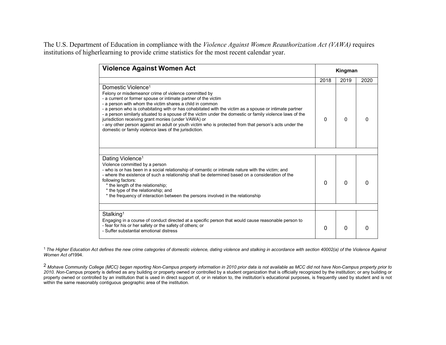The U.S. Department of Education in compliance with the *Violence Against Women Reauthorization Act (VAWA)* requires institutions of higherlearning to provide crime statistics for the most recent calendar year.

| <b>Violence Against Women Act</b>                                                                                                                                                                                                                                                                                                                                                                                                                                                                                                                                                                                                                                     |          | Kingman  |      |
|-----------------------------------------------------------------------------------------------------------------------------------------------------------------------------------------------------------------------------------------------------------------------------------------------------------------------------------------------------------------------------------------------------------------------------------------------------------------------------------------------------------------------------------------------------------------------------------------------------------------------------------------------------------------------|----------|----------|------|
|                                                                                                                                                                                                                                                                                                                                                                                                                                                                                                                                                                                                                                                                       | 2018     | 2019     | 2020 |
| Domestic Violence <sup>1</sup><br>Felony or misdemeanor crime of violence committed by<br>- a current or former spouse or intimate partner of the victim<br>- a person with whom the victim shares a child in common<br>- a person who is cohabitating with or has cohabitated with the victim as a spouse or intimate partner<br>- a person similarly situated to a spouse of the victim under the domestic or family violence laws of the<br>jurisdiction receiving grant monies (under VAWA) or<br>- any other person against an adult or youth victim who is protected from that person's acts under the<br>domestic or family violence laws of the jurisdiction. | 0        | $\Omega$ |      |
|                                                                                                                                                                                                                                                                                                                                                                                                                                                                                                                                                                                                                                                                       |          |          |      |
| Dating Violence <sup>1</sup><br>Violence committed by a person<br>- who is or has been in a social relationship of romantic or intimate nature with the victim; and<br>- where the existence of such a relationship shall be determined based on a consideration of the<br>following factors:<br>* the length of the relationship;<br>* the type of the relationship; and<br>* the frequency of interaction between the persons involved in the relationship                                                                                                                                                                                                          | $\Omega$ | 0        |      |
|                                                                                                                                                                                                                                                                                                                                                                                                                                                                                                                                                                                                                                                                       |          |          |      |
| Stalking <sup>1</sup><br>Engaging in a course of conduct directed at a specific person that would cause reasonable person to<br>- fear for his or her safety or the safety of others; or<br>- Suffer substantial emotional distress                                                                                                                                                                                                                                                                                                                                                                                                                                   | 0        | 0        |      |

<sup>1</sup>*The Higher Education Act defines the new crime categories of domestic violence, dating violence and stalking in accordance with section 40002(a) of the Violence Against Women Act of*1994.

2 *Mohave Community College (MCC) began reporting Non-Campus property information in 2010 prior data is not available as MCC did not have Non-Campus property prior to 2010. Non-*Campus property is defined as any building or property owned or controlled by a student organization that is officially recognized by the institution; or any building or property owned or controlled by an institution that is used in direct support of, or in relation to, the institution's educational purposes, is frequently used by student and is not within the same reasonably contiguous geographic area of the institution.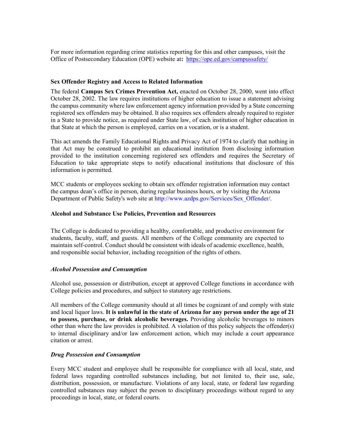For more information regarding crime statistics reporting for this and other campuses, visit the Office of Postsecondary Education (OPE) website at**:** <https://ope.ed.gov/campussafety/>

#### <span id="page-17-0"></span>**Sex Offender Registry and Access to Related Information**

The federal **Campus Sex Crimes Prevention Act,** enacted on October 28, 2000, went into effect October 28, 2002. The law requires institutions of higher education to issue a statement advising the campus community where law enforcement agency information provided by a State concerning registered sex offenders may be obtained. It also requires sex offenders already required to register in a State to provide notice, as required under State law, of each institution of higher education in that State at which the person is employed, carries on a vocation, or is a student.

This act amends the Family Educational Rights and Privacy Act of 1974 to clarify that nothing in that Act may be construed to prohibit an educational institution from disclosing information provided to the institution concerning registered sex offenders and requires the Secretary of Education to take appropriate steps to notify educational institutions that disclosure of this information is permitted.

MCC students or employees seeking to obtain sex offender registration information may contact the campus dean's office in person, during regular business hours, or by visiting the Arizona Department of Public Safety's web site at [http://www.azdps.gov/Services/Sex\\_Offender/.](http://www.azdps.gov/Services/Sex_Offender/)

## <span id="page-17-1"></span>**Alcohol and Substance Use Policies, Prevention and Resources**

The College is dedicated to providing a healthy, comfortable, and productive environment for students, faculty, staff, and guests. All members of the College community are expected to maintain self-control. Conduct should be consistent with ideals of academic excellence, health, and responsible social behavior, including recognition of the rights of others.

## *Alcohol Possession and Consumption*

Alcohol use, possession or distribution, except at approved College functions in accordance with College policies and procedures, and subject to statutory age restrictions.

All members of the College community should at all times be cognizant of and comply with state and local liquor laws. **It is unlawful in the state of Arizona for any person under the age of 21 to possess, purchase, or drink alcoholic beverages.** Providing alcoholic beverages to minors other than where the law provides is prohibited. A violation of this policy subjects the offender(s) to internal disciplinary and/or law enforcement action, which may include a court appearance citation or arrest.

## *Drug Possession and Consumption*

Every MCC student and employee shall be responsible for compliance with all local, state, and federal laws regarding controlled substances including, but not limited to, their use, sale, distribution, possession, or manufacture. Violations of any local, state, or federal law regarding controlled substances may subject the person to disciplinary proceedings without regard to any proceedings in local, state, or federal courts.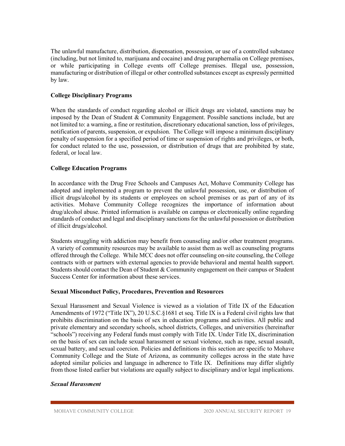The unlawful manufacture, distribution, dispensation, possession, or use of a controlled substance (including, but not limited to, marijuana and cocaine) and drug paraphernalia on College premises, or while participating in College events off College premises. Illegal use, possession, manufacturing or distribution of illegal or other controlled substances except as expressly permitted by law.

## <span id="page-18-0"></span>**College Disciplinary Programs**

When the standards of conduct regarding alcohol or illicit drugs are violated, sanctions may be imposed by the Dean of Student & Community Engagement. Possible sanctions include, but are not limited to: a warning, a fine or restitution, discretionary educational sanction, loss of privileges, notification of parents, suspension, or expulsion. The College will impose a minimum disciplinary penalty of suspension for a specified period of time or suspension of rights and privileges, or both, for conduct related to the use, possession, or distribution of drugs that are prohibited by state, federal, or local law.

## <span id="page-18-1"></span>**College Education Programs**

In accordance with the Drug Free Schools and Campuses Act, Mohave Community College has adopted and implemented a program to prevent the unlawful possession, use, or distribution of illicit drugs/alcohol by its students or employees on school premises or as part of any of its activities. Mohave Community College recognizes the importance of information about drug/alcohol abuse. Printed information is available on campus or electronically online regarding standards of conduct and legal and disciplinary sanctions for the unlawful possession or distribution of illicit drugs/alcohol.

Students struggling with addiction may benefit from counseling and/or other treatment programs. A variety of community resources may be available to assist them as well as counseling programs offered through the College. While MCC does not offer counseling on-site counseling, the College contracts with or partners with external agencies to provide behavioral and mental health support. Students should contact the Dean of Student & Community engagement on their campus or Student Success Center for information about these services.

## <span id="page-18-2"></span>**Sexual Misconduct Policy, Procedures, Prevention and Resources**

Sexual Harassment and Sexual Violence is viewed as a violation of Title IX of the Education Amendments of 1972 ("Title IX"), 20 U.S.C.§1681 et seq. Title IX is a Federal civil rights law that prohibits discrimination on the basis of sex in education programs and activities. All public and private elementary and secondary schools, school districts, Colleges, and universities (hereinafter "schools") receiving any Federal funds must comply with Title IX. Under Title IX, discrimination on the basis of sex can include sexual harassment or sexual violence, such as rape, sexual assault, sexual battery, and sexual coercion. Policies and definitions in this section are specific to Mohave Community College and the State of Arizona, as community colleges across in the state have adopted similar policies and language in adherence to Title IX. Definitions may differ slightly from those listed earlier but violations are equally subject to disciplinary and/or legal implications.

## *Sexual Harassment*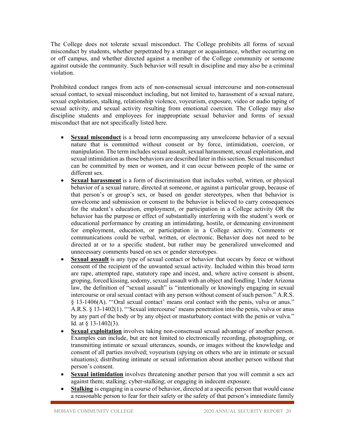The College does not tolerate sexual misconduct. The College prohibits all forms of sexual misconduct by students, whether perpetrated by a stranger or acquaintance, whether occurring on or off campus, and whether directed against a member of the College community or someone against outside the community. Such behavior will result in discipline and may also be a criminal violation.

Prohibited conduct ranges from acts of non-consensual sexual intercourse and non-consensual sexual contact, to sexual misconduct including, but not limited to, harassment of a sexual nature, sexual exploitation, stalking, relationship violence, voyeurism, exposure, video or audio taping of sexual activity, and sexual activity resulting from emotional coercion. The College may also discipline students and employees for inappropriate sexual behavior and forms of sexual misconduct that are not specifically listed here.

- **Sexual misconduct** is a broad term encompassing any unwelcome behavior of a sexual nature that is committed without consent or by force, intimidation, coercion, or manipulation. The term includes sexual assault, sexual harassment, sexual exploitation, and sexual intimidation as those behaviors are described later in this section. Sexual misconduct can be committed by men or women, and it can occur between people of the same or different sex.
- **Sexual harassment** is a form of discrimination that includes verbal, written, or physical behavior of a sexual nature, directed at someone, or against a particular group, because of that person's or group's sex, or based on gender stereotypes, when that behavior is unwelcome and submission or consent to the behavior is believed to carry consequences for the student's education, employment, or participation in a College activity OR the behavior has the purpose or effect of substantially interfering with the student's work or educational performance by creating an intimidating, hostile, or demeaning environment for employment, education, or participation in a College activity. Comments or communications could be verbal, written, or electronic. Behavior does not need to be directed at or to a specific student, but rather may be generalized unwelcomed and unnecessary comments based on sex or gender stereotypes.
- **Sexual assault** is any type of sexual contact or behavior that occurs by force or without consent of the recipient of the unwanted sexual activity. Included within this broad term are rape, attempted rape, statutory rape and incest, and, where active consent is absent, groping, forced kissing, sodomy, sexual assault with an object and fondling. Under Arizona law, the definition of "sexual assault" is "intentionally or knowingly engaging in sexual intercourse or oral sexual contact with any person without consent of such person." A.R.S. § 13-1406(A). "'Oral sexual contact' means oral contact with the penis, vulva or anus." A.R.S. § 13-1402(1). "'Sexual intercourse' means penetration into the penis, vulva or anus by any part of the body or by any object or masturbatory contact with the penis or vulva." Id. at § 13-1402(3).
- **Sexual exploitation** involves taking non-consensual sexual advantage of another person. Examples can include, but are not limited to electronically recording, photographing, or transmitting intimate or sexual utterances, sounds, or images without the knowledge and consent of all parties involved; voyeurism (spying on others who are in intimate or sexual situations); distributing intimate or sexual information about another person without that person's consent.
- **Sexual intimidation** involves threatening another person that you will commit a sex act against them; stalking; cyber-stalking; or engaging in indecent exposure.
- **Stalking** is engaging in a course of behavior, directed at a specific person that would cause a reasonable person to fear for their safety or the safety of that person's immediate family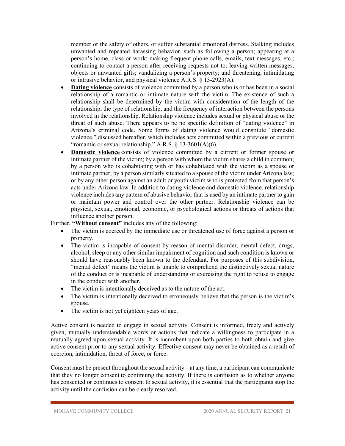member or the safety of others, or suffer substantial emotional distress. Stalking includes unwanted and repeated harassing behavior, such as following a person; appearing at a person's home, class or work; making frequent phone calls, emails, text messages, etc.; continuing to contact a person after receiving requests not to; leaving written messages, objects or unwanted gifts; vandalizing a person's property; and threatening, intimidating or intrusive behavior, and physical violence A.R.S. § 13-2923(A).

- **Dating violence** consists of violence committed by a person who is or has been in a social relationship of a romantic or intimate nature with the victim. The existence of such a relationship shall be determined by the victim with consideration of the length of the relationship, the type of relationship, and the frequency of interaction between the persons involved in the relationship. Relationship violence includes sexual or physical abuse or the threat of such abuse. There appears to be no specific definition of "dating violence" in Arizona's criminal code. Some forms of dating violence would constitute "domestic violence," discussed hereafter, which includes acts committed within a previous or current "romantic or sexual relationship." A.R.S.  $\S$  13-3601(A)(6).
- **Domestic violence** consists of violence committed by a current or former spouse or intimate partner of the victim; by a person with whom the victim shares a child in common; by a person who is cohabitating with or has cohabitated with the victim as a spouse or intimate partner; by a person similarly situated to a spouse of the victim under Arizona law; or by any other person against an adult or youth victim who is protected from that person's acts under Arizona law. In addition to dating violence and domestic violence, relationship violence includes any pattern of abusive behavior that is used by an intimate partner to gain or maintain power and control over the other partner. Relationship violence can be physical, sexual, emotional, economic, or psychological actions or threats of actions that influence another person.

## Further, **"Without consent"** includes any of the following:

- The victim is coerced by the immediate use or threatened use of force against a person or property.
- The victim is incapable of consent by reason of mental disorder, mental defect, drugs, alcohol, sleep or any other similar impairment of cognition and such condition is known or should have reasonably been known to the defendant. For purposes of this subdivision, "mental defect" means the victim is unable to comprehend the distinctively sexual nature of the conduct or is incapable of understanding or exercising the right to refuse to engage in the conduct with another.
- The victim is intentionally deceived as to the nature of the act.
- The victim is intentionally deceived to erroneously believe that the person is the victim's spouse.
- The victim is not yet eighteen years of age.

Active consent is needed to engage in sexual activity. Consent is informed, freely and actively given, mutually understandable words or actions that indicate a willingness to participate in a mutually agreed upon sexual activity. It is incumbent upon both parties to both obtain and give active consent prior to any sexual activity. Effective consent may never be obtained as a result of coercion, intimidation, threat of force, or force.

Consent must be present throughout the sexual activity – at any time, a participant can communicate that they no longer consent to continuing the activity. If there is confusion as to whether anyone has consented or continues to consent to sexual activity, it is essential that the participants stop the activity until the confusion can be clearly resolved.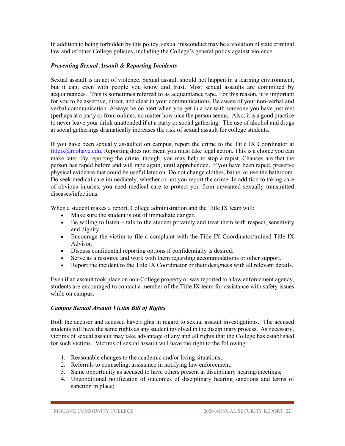In addition to being forbidden by this policy, sexual misconduct may be a violation of state criminal law and of other College policies, including the College's general policy against violence.

## *Preventing Sexual Assault & Reporting Incidents*

Sexual assault is an act of violence. Sexual assault should not happen in a learning environment, but it can, even with people you know and trust. Most sexual assaults are committed by acquaintances. This is sometimes referred to as acquaintance rape. For this reason, it is important for you to be assertive, direct, and clear in your communications. Be aware of your non-verbal and verbal communication. Always be on alert when you get in a car with someone you have just met (perhaps at a party or from online), no matter how nice the person seems. Also, it is a good practice to never leave your drink unattended if at a party or social gathering. The use of alcohol and drugs at social gatherings dramatically increases the risk of sexual assault for college students.

If you have been sexually assaulted on campus, report the crime to the Title IX Coordinator at [titleix@mohave.edu.](mailto:titleix@mohave.edu) Reporting does not mean you must take legal action. This is a choice you can make later. By reporting the crime, though, you may help to stop a rapist. Chances are that the person has raped before and will rape again, until apprehended. If you have been raped, preserve physical evidence that could be useful later on. Do not change clothes, bathe, or use the bathroom. Do seek medical care immediately, whether or not you report the crime. In addition to taking care of obvious injuries, you need medical care to protect you from unwanted sexually transmitted diseases/infections.

When a student makes a report, College administration and the Title IX team will:

- Make sure the student is out of immediate danger.
- Be willing to listen talk to the student privately and treat them with respect, sensitivity and dignity.
- Encourage the victim to file a complaint with the Title IX Coordinator/trained Title IX Advisor.
- Discuss confidential reporting options if confidentially is desired.
- Serve as a resource and work with them regarding accommodations or other support.
- Report the incident to the Title IX Coordinator or their designees with all relevant details.

Even if an assault took place on non-College property or was reported to a law enforcement agency, students are encouraged to contact a member of the Title IX team for assistance with safety issues while on campus.

## *Campus Sexual Assault Victim Bill of Rights*

Both the accuser and accused have rights in regard to sexual assault investigations. The accused students will have the same rights as any student involved in the disciplinary process. As necessary, victims of sexual assault may take advantage of any and all rights that the College has established for such victims. Victims of sexual assault will have the right to the following:

- 1. Reasonable changes to the academic and/or living situations;
- 2. Referrals to counseling, assistance in notifying law enforcement;
- 3. Same opportunity as accused to have others present at disciplinary hearing/meetings;
- 4. Unconditional notification of outcomes of disciplinary hearing sanctions and terms of sanction in place;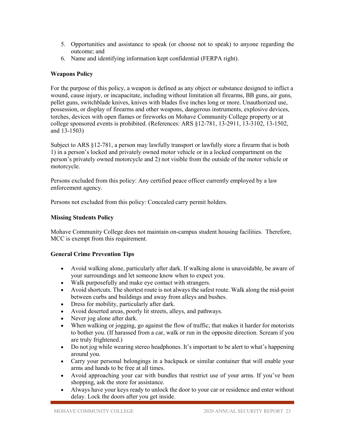- 5. Opportunities and assistance to speak (or choose not to speak) to anyone regarding the outcome; and
- 6. Name and identifying information kept confidential (FERPA right).

## <span id="page-22-0"></span>**Weapons Policy**

For the purpose of this policy, a weapon is defined as any object or substance designed to inflict a wound, cause injury, or incapacitate, including without limitation all firearms, BB guns, air guns, pellet guns, switchblade knives, knives with blades five inches long or more. Unauthorized use, possession, or display of firearms and other weapons, dangerous instruments, explosive devices, torches, devices with open flames or fireworks on Mohave Community College property or at college sponsored events is prohibited. (References: ARS §12-781, 13-2911, 13-3102, 13-1502, and 13-1503)

Subject to ARS §12-781, a person may lawfully transport or lawfully store a firearm that is both 1) in a person's locked and privately owned motor vehicle or in a locked compartment on the person's privately owned motorcycle and 2) not visible from the outside of the motor vehicle or motorcycle.

Persons excluded from this policy: Any certified peace officer currently employed by a law enforcement agency.

Persons not excluded from this policy: Concealed carry permit holders.

## <span id="page-22-1"></span>**Missing Students Policy**

Mohave Community College does not maintain on-campus student housing facilities. Therefore, MCC is exempt from this requirement.

## <span id="page-22-2"></span>**General Crime Prevention Tips**

- Avoid walking alone, particularly after dark. If walking alone is unavoidable, be aware of your surroundings and let someone know when to expect you.
- Walk purposefully and make eye contact with strangers.
- Avoid shortcuts. The shortest route is not always the safest route. Walk along the mid-point between curbs and buildings and away from alleys and bushes.
- Dress for mobility, particularly after dark.
- Avoid deserted areas, poorly lit streets, alleys, and pathways.
- Never jog alone after dark.
- When walking or jogging, go against the flow of traffic; that makes it harder for motorists to bother you. (If harassed from a car, walk or run in the opposite direction. Scream if you are truly frightened.)
- Do not jog while wearing stereo headphones. It's important to be alert to what's happening around you.
- Carry your personal belongings in a backpack or similar container that will enable your arms and hands to be free at all times.
- Avoid approaching your car with bundles that restrict use of your arms. If you've been shopping, ask the store for assistance.
- Always have your keys ready to unlock the door to your car or residence and enter without delay. Lock the doors after you get inside.